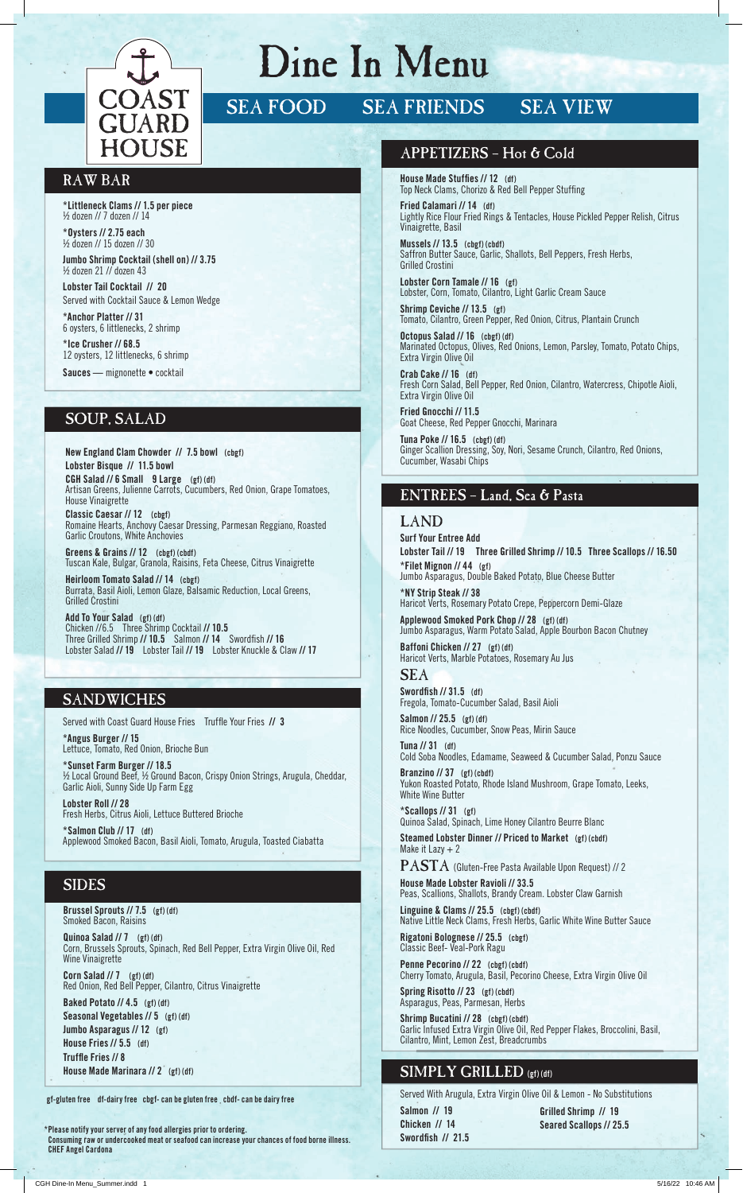

# Dine In Menu

SEA FOOD SEA FRIENDS SEA VIEW

### RAW BAR

**\*Littleneck Clams // 1.5 per piece** ½ dozen // 7 dozen // 14

**\*Oysters // 2.75 each** ½ dozen // 15 dozen // 30

**Jumbo Shrimp Cocktail (shell on) // 3.75** ½ dozen 21 // dozen 43

**Lobster Tail Cocktail // 20** Served with Cocktail Sauce & Lemon Wedge

**\*Anchor Platter // 31** 6 oysters, 6 littlenecks, 2 shrimp

**\*Ice Crusher // 68.5** 12 oysters, 12 littlenecks, 6 shrimp **Sauces —** mignonette • cocktail

# SOUP, SALAD

**New England Clam Chowder // 7.5 bowl (cbgf) Lobster Bisque // 11.5 bowl CGH Salad // 6 Small 9 Large (gf) (df)**  Artisan Greens, Julienne Carrots, Cucumbers, Red Onion, Grape Tomatoes, House Vinaigrette **Classic Caesar // 12 (cbgf)**  Romaine Hearts, Anchovy Caesar Dressing, Parmesan Reggiano, Roasted Garlic Croutons, White Anchovies

**Greens & Grains // 12 (cbgf) (cbdf)** Tuscan Kale, Bulgar, Granola, Raisins, Feta Cheese, Citrus Vinaigrette

**Heirloom Tomato Salad // 14 (cbgf)** Burrata, Basil Aioli, Lemon Glaze, Balsamic Reduction, Local Greens, Grilled Crostini

**Add To Your Salad (gf) (df)** Chicken //6.5 Three Shrimp Cocktail **// 10.5** Three Grilled Shrimp **// 10.5** Salmon **// 14** Swordfi sh **// 16** Lobster Salad **// 19** Lobster Tail **// 19** Lobster Knuckle & Claw **// 17**

## **SANDWICHES**

Served with Coast Guard House Fries Truffle Your Fries  $\frac{1}{3}$ 

**\*Angus Burger // 15** Lettuce, Tomato, Red Onion, Brioche Bun

**\*Sunset Farm Burger // 18.5** ½ Local Ground Beef, ½ Ground Bacon, Crispy Onion Strings, Arugula, Cheddar, Garlic Aioli, Sunny Side Up Farm Egg **Lobster Roll // 28** Fresh Herbs, Citrus Aioli, Lettuce Buttered Brioche

**\*Salmon Club // 17 (df)** Applewood Smoked Bacon, Basil Aioli, Tomato, Arugula, Toasted Ciabatta

# SIDES

#### **Brussel Sprouts // 7.5 (gf) (df)** Smoked Bacon, Raisins

**Quinoa Salad // 7 (gf) (df)** Corn, Brussels Sprouts, Spinach, Red Bell Pepper, Extra Virgin Olive Oil, Red Wine Vinaigrette

**Corn Salad // 7 (gf) (df)** Red Onion, Red Bell Pepper, Cilantro, Citrus Vinaigrette

**Baked Potato // 4.5 (gf) (df) Seasonal Vegetables // 5 (gf) (df) Jumbo Asparagus // 12 (gf) House Fries // 5.5 (df) Truffle Fries // 8 House Made Marinara // 2 (gf) (df)**

**gf-gluten free df-dairy free cbgf- can be gluten free cbdf- can be dairy free**

**\* Please notify your server of any food allergies prior to ordering. Consuming raw or undercooked meat or seafood can increase your chances of food borne illness. CHEF Angel Cardona**

#### APPETIZERS – Hot & Cold

**House Made Stuffies // 12** (df) Top Neck Clams, Chorizo & Red Bell Pepper Stuffing

**Fried Calamari // 14 (df)** Lightly Rice Flour Fried Rings & Tentacles, House Pickled Pepper Relish, Citrus Vinaigrette, Basil

**Mussels // 13.5 (cbgf) (cbdf)** Saffron Butter Sauce, Garlic, Shallots, Bell Peppers, Fresh Herbs, Grilled Crostini

**Lobster Corn Tamale // 16 (gf)** Lobster, Corn, Tomato, Cilantro, Light Garlic Cream Sauce

**Shrimp Ceviche // 13.5 (gf)** Tomato, Cilantro, Green Pepper, Red Onion, Citrus, Plantain Crunch **Octopus Salad // 16 (cbgf) (df)**

Marinated Octopus, Olives, Red Onions, Lemon, Parsley, Tomato, Potato Chips, Extra Virgin Olive Oil

**Crab Cake // 16 (df)** Fresh Corn Salad, Bell Pepper, Red Onion, Cilantro, Watercress, Chipotle Aioli, Extra Virgin Olive Oil

**Fried Gnocchi // 11.5** Goat Cheese, Red Pepper Gnocchi, Marinara

**Tuna Poke // 16.5 (cbgf) (df)** Ginger Scallion Dressing, Soy, Nori, Sesame Crunch, Cilantro, Red Onions, Cucumber, Wasabi Chips

# ENTREES – Land, Sea & Pasta

### LAND

**Surf Your Entree Add Lobster Tail // 19 Three Grilled Shrimp // 10.5 Three Scallops // 16.50 \*Filet Mignon // 44 (gf)**  Jumbo Asparagus, Double Baked Potato, Blue Cheese Butter **\*NY Strip Steak // 38**  Haricot Verts, Rosemary Potato Crepe, Peppercorn Demi-Glaze **Applewood Smoked Pork Chop // 28 (gf) (df)** Jumbo Asparagus, Warm Potato Salad, Apple Bourbon Bacon Chutney **Baffoni Chicken // 27 (gf) (df)**

Haricot Verts, Marble Potatoes, Rosemary Au Jus

SEA Swordfish // 31.5 (df) Fregola, Tomato-Cucumber Salad, Basil Aioli

**Salmon // 25.5 (gf) (df)** Rice Noodles, Cucumber, Snow Peas, Mirin Sauce

**Tuna // 31 (df)** Cold Soba Noodles, Edamame, Seaweed & Cucumber Salad, Ponzu Sauce **Branzino // 37 (gf) (cbdf)**

Yukon Roasted Potato, Rhode Island Mushroom, Grape Tomato, Leeks, White Wine Butter

**\*Scallops // 31 (gf)**

Quinoa Salad, Spinach, Lime Honey Cilantro Beurre Blanc **Steamed Lobster Dinner // Priced to Market (gf) (cbdf)** Make it Lazy  $+2$ 

 $\mathbf{PASTA}$  (Gluten-Free Pasta Available Upon Request) // 2 **House Made Lobster Ravioli // 33.5** Peas, Scallions, Shallots, Brandy Cream. Lobster Claw Garnish

**Linguine & Clams // 25.5 (cbgf) (cbdf)**

Native Little Neck Clams, Fresh Herbs, Garlic White Wine Butter Sauce **Rigatoni Bolognese // 25.5 (cbgf)**

Classic Beef- Veal-Pork Ragu **Penne Pecorino // 22 (cbgf) (cbdf)**

Cherry Tomato, Arugula, Basil, Pecorino Cheese, Extra Virgin Olive Oil **Spring Risotto // 23 (gf) (cbdf)**

Asparagus, Peas, Parmesan, Herbs

**Shrimp Bucatini // 28 (cbgf) (cbdf)** Garlic Infused Extra Virgin Olive Oil, Red Pepper Flakes, Broccolini, Basil, Cilantro, Mint, Lemon Zest, Breadcrumbs

# SIMPLY GRILLED **(gf) (df)**

Served With Arugula, Extra Virgin Olive Oil & Lemon - No Substitutions **Salmon // 19 Chicken // 14** Swordfish // 21.5

**Grilled Shrimp // 19 Seared Scallops // 25.5** 

CGH Dine-In Menu\_Summer.indd 1 5/16/22 10:46 AM